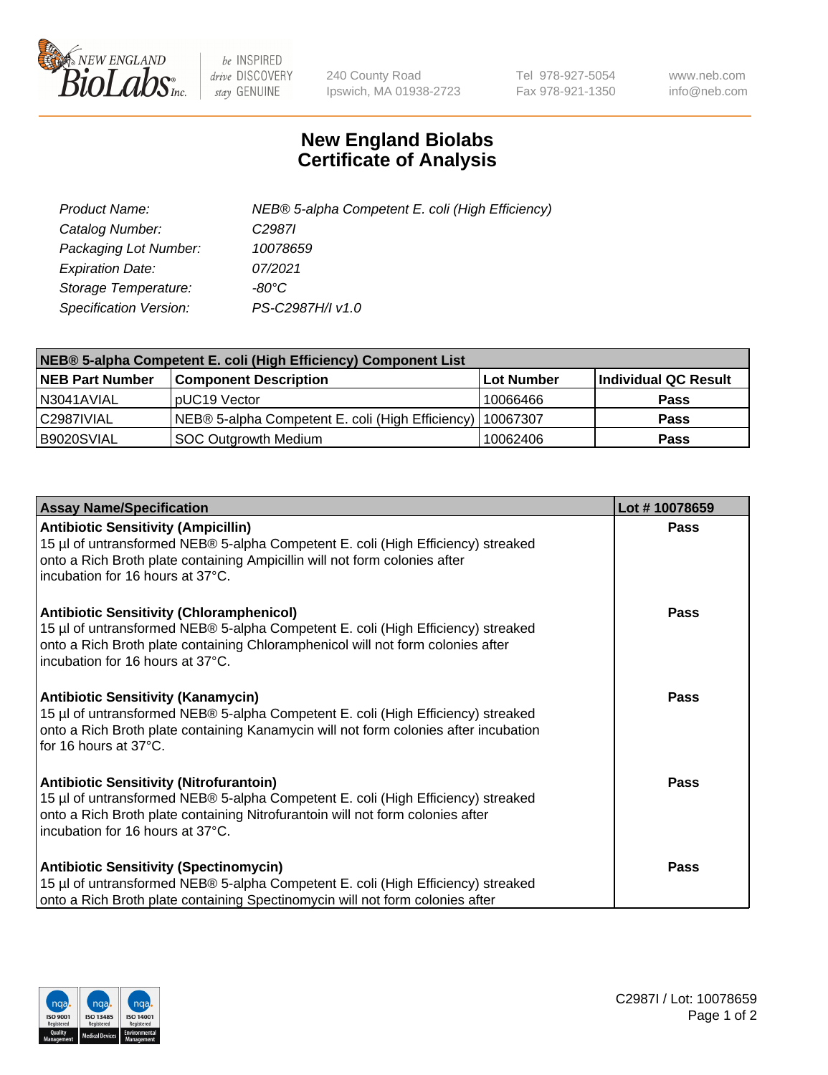

 $be$  INSPIRED drive DISCOVERY stay GENUINE

240 County Road Ipswich, MA 01938-2723 Tel 978-927-5054 Fax 978-921-1350 www.neb.com info@neb.com

## **New England Biolabs Certificate of Analysis**

| Product Name:           | NEB® 5-alpha Competent E. coli (High Efficiency) |
|-------------------------|--------------------------------------------------|
| Catalog Number:         | C <sub>2987</sub>                                |
| Packaging Lot Number:   | 10078659                                         |
| <b>Expiration Date:</b> | 07/2021                                          |
| Storage Temperature:    | -80°C                                            |
| Specification Version:  | PS-C2987H/I v1.0                                 |

| NEB® 5-alpha Competent E. coli (High Efficiency) Component List |                                                             |            |                      |  |
|-----------------------------------------------------------------|-------------------------------------------------------------|------------|----------------------|--|
| <b>NEB Part Number</b>                                          | <b>Component Description</b>                                | Lot Number | Individual QC Result |  |
| N3041AVIAL                                                      | pUC19 Vector                                                | 10066466   | <b>Pass</b>          |  |
| C2987IVIAL                                                      | NEB® 5-alpha Competent E. coli (High Efficiency)   10067307 |            | <b>Pass</b>          |  |
| B9020SVIAL                                                      | <b>SOC Outgrowth Medium</b>                                 | 10062406   | <b>Pass</b>          |  |

| <b>Assay Name/Specification</b>                                                                                                                                                                                                                            | Lot #10078659 |
|------------------------------------------------------------------------------------------------------------------------------------------------------------------------------------------------------------------------------------------------------------|---------------|
| <b>Antibiotic Sensitivity (Ampicillin)</b><br>15 µl of untransformed NEB® 5-alpha Competent E. coli (High Efficiency) streaked<br>onto a Rich Broth plate containing Ampicillin will not form colonies after<br>incubation for 16 hours at 37°C.           | Pass          |
| <b>Antibiotic Sensitivity (Chloramphenicol)</b><br>15 µl of untransformed NEB® 5-alpha Competent E. coli (High Efficiency) streaked<br>onto a Rich Broth plate containing Chloramphenicol will not form colonies after<br>incubation for 16 hours at 37°C. | Pass          |
| Antibiotic Sensitivity (Kanamycin)<br>15 µl of untransformed NEB® 5-alpha Competent E. coli (High Efficiency) streaked<br>onto a Rich Broth plate containing Kanamycin will not form colonies after incubation<br>for 16 hours at 37°C.                    | Pass          |
| <b>Antibiotic Sensitivity (Nitrofurantoin)</b><br>15 µl of untransformed NEB® 5-alpha Competent E. coli (High Efficiency) streaked<br>onto a Rich Broth plate containing Nitrofurantoin will not form colonies after<br>incubation for 16 hours at 37°C.   | <b>Pass</b>   |
| <b>Antibiotic Sensitivity (Spectinomycin)</b><br>15 µl of untransformed NEB® 5-alpha Competent E. coli (High Efficiency) streaked<br>onto a Rich Broth plate containing Spectinomycin will not form colonies after                                         | Pass          |